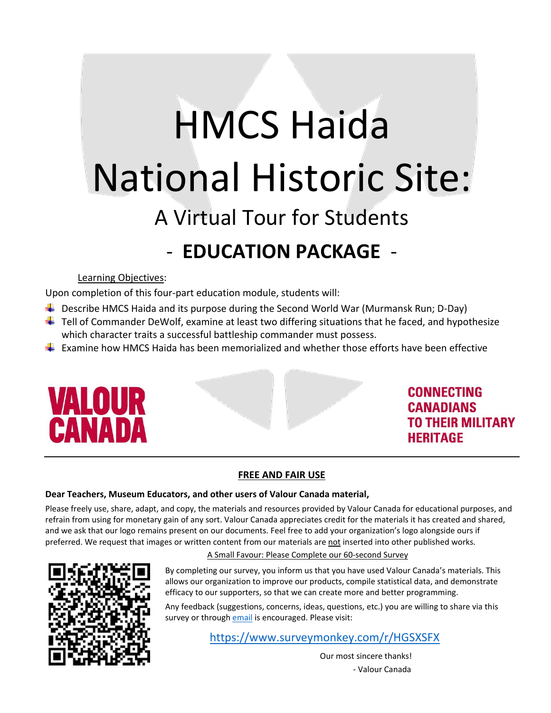# HMCS Haida National Historic Site: A Virtual Tour for Students

# - **EDUCATION PACKAGE** -

#### Learning Objectives:

Upon completion of this four-part education module, students will:

- $\ddot{\phantom{1}}$  Describe HMCS Haida and its purpose during the Second World War (Murmansk Run; D-Day)
- $\ddot{+}$  Tell of Commander DeWolf, examine at least two differing situations that he faced, and hypothesize which character traits a successful battleship commander must possess.
- $\ddot{\phantom{1}}$  Examine how HMCS Haida has been memorialized and whether those efforts have been effective



#### **CONNECTING CANADIANS TO THEIR MILITARY HERITAGE**

#### **FREE AND FAIR USE**

#### **Dear Teachers, Museum Educators, and other users of Valour Canada material,**

Please freely use, share, adapt, and copy, the materials and resources provided by Valour Canada for educational purposes, and refrain from using for monetary gain of any sort. Valour Canada appreciates credit for the materials it has created and shared, and we ask that our logo remains present on our documents. Feel free to add your organization's logo alongside ours if preferred. We request that images or written content from our materials are not inserted into other published works.



#### A Small Favour: Please Complete our 60-second Survey

By completing our survey, you inform us that you have used Valour Canada's materials. This allows our organization to improve our products, compile statistical data, and demonstrate efficacy to our supporters, so that we can create more and better programming.

Any feedback (suggestions, concerns, ideas, questions, etc.) you are willing to share via this survey or throug[h email](mailto:educator@valourcanada.ca?subject=Feedback%20from%20a%20user%20of%20Valour%20Canada) is encouraged. Please visit:

<https://www.surveymonkey.com/r/HGSXSFX>

Our most sincere thanks! - Valour Canada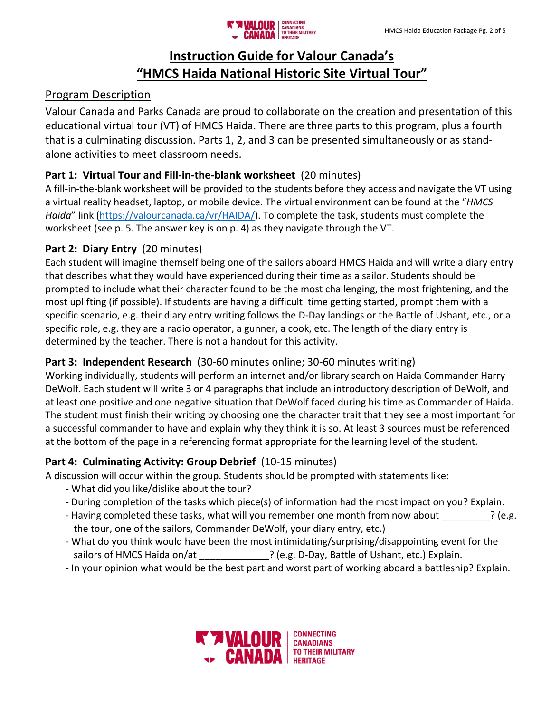### **Instruction Guide for Valour Canada's "HMCS Haida National Historic Site Virtual Tour"**

#### Program Description

Valour Canada and Parks Canada are proud to collaborate on the creation and presentation of this educational virtual tour (VT) of HMCS Haida. There are three parts to this program, plus a fourth that is a culminating discussion. Parts 1, 2, and 3 can be presented simultaneously or as standalone activities to meet classroom needs.

#### **Part 1: Virtual Tour and Fill-in-the-blank worksheet** (20 minutes)

A fill-in-the-blank worksheet will be provided to the students before they access and navigate the VT using a virtual reality headset, laptop, or mobile device. The virtual environment can be found at the "*HMCS Haida*" link [\(https://valourcanada.ca/vr/HAIDA/\)](https://valourcanada.ca/vr/HAIDA/). To complete the task, students must complete the worksheet (see p. 5. The answer key is on p. 4) as they navigate through the VT.

#### **Part 2: Diary Entry** (20 minutes)

Each student will imagine themself being one of the sailors aboard HMCS Haida and will write a diary entry that describes what they would have experienced during their time as a sailor. Students should be prompted to include what their character found to be the most challenging, the most frightening, and the most uplifting (if possible). If students are having a difficult time getting started, prompt them with a specific scenario, e.g. their diary entry writing follows the D-Day landings or the Battle of Ushant, etc., or a specific role, e.g. they are a radio operator, a gunner, a cook, etc. The length of the diary entry is determined by the teacher. There is not a handout for this activity.

#### **Part 3: Independent Research** (30-60 minutes online; 30-60 minutes writing)

Working individually, students will perform an internet and/or library search on Haida Commander Harry DeWolf. Each student will write 3 or 4 paragraphs that include an introductory description of DeWolf, and at least one positive and one negative situation that DeWolf faced during his time as Commander of Haida. The student must finish their writing by choosing one the character trait that they see a most important for a successful commander to have and explain why they think it is so. At least 3 sources must be referenced at the bottom of the page in a referencing format appropriate for the learning level of the student.

#### **Part 4: Culminating Activity: Group Debrief** (10-15 minutes)

A discussion will occur within the group. Students should be prompted with statements like:

- What did you like/dislike about the tour?
- During completion of the tasks which piece(s) of information had the most impact on you? Explain.
- Having completed these tasks, what will you remember one month from now about  $\cdot$  ? (e.g. the tour, one of the sailors, Commander DeWolf, your diary entry, etc.)
- What do you think would have been the most intimidating/surprising/disappointing event for the sailors of HMCS Haida on/at **Explain.** ? (e.g. D-Day, Battle of Ushant, etc.) Explain.
- In your opinion what would be the best part and worst part of working aboard a battleship? Explain.

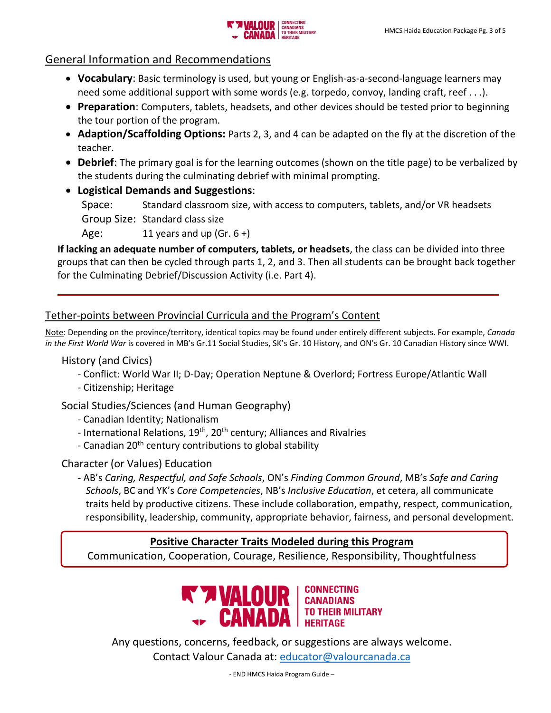

#### General Information and Recommendations

- **Vocabulary**: Basic terminology is used, but young or English-as-a-second-language learners may need some additional support with some words (e.g. torpedo, convoy, landing craft, reef . . .).
- **Preparation**: Computers, tablets, headsets, and other devices should be tested prior to beginning the tour portion of the program.
- **Adaption/Scaffolding Options:** Parts 2, 3, and 4 can be adapted on the fly at the discretion of the teacher.
- **Debrief**: The primary goal is for the learning outcomes (shown on the title page) to be verbalized by the students during the culminating debrief with minimal prompting.

• **Logistical Demands and Suggestions**:

Space: Standard classroom size, with access to computers, tablets, and/or VR headsets Group Size: Standard class size

Age:  $11$  years and up (Gr. 6 +)

**If lacking an adequate number of computers, tablets, or headsets**, the class can be divided into three groups that can then be cycled through parts 1, 2, and 3. Then all students can be brought back together for the Culminating Debrief/Discussion Activity (i.e. Part 4).

#### Tether-points between Provincial Curricula and the Program's Content

Note: Depending on the province/territory, identical topics may be found under entirely different subjects. For example, *Canada in the First World War* is covered in MB's Gr.11 Social Studies, SK's Gr. 10 History, and ON's Gr. 10 Canadian History since WWI.

History (and Civics)

- Conflict: World War II; D-Day; Operation Neptune & Overlord; Fortress Europe/Atlantic Wall
- Citizenship; Heritage

Social Studies/Sciences (and Human Geography)

- Canadian Identity; Nationalism
- International Relations, 19<sup>th</sup>, 20<sup>th</sup> century; Alliances and Rivalries
- Canadian 20<sup>th</sup> century contributions to global stability

Character (or Values) Education

- AB's *Caring, Respectful, and Safe Schools*, ON's *Finding Common Ground*, MB's *Safe and Caring Schools*, BC and YK's *Core Competencies*, NB's *Inclusive Education*, et cetera, all communicate traits held by productive citizens. These include collaboration, empathy, respect, communication, responsibility, leadership, community, appropriate behavior, fairness, and personal development.

#### **Positive Character Traits Modeled during this Program**

Communication, Cooperation, Courage, Resilience, Responsibility, Thoughtfulness



**CONNECTING** 

Any questions, concerns, feedback, or suggestions are always welcome. Contact Valour Canada at: [educator@valourcanada.ca](mailto:educator@valourcanada.ca)

- END HMCS Haida Program Guide –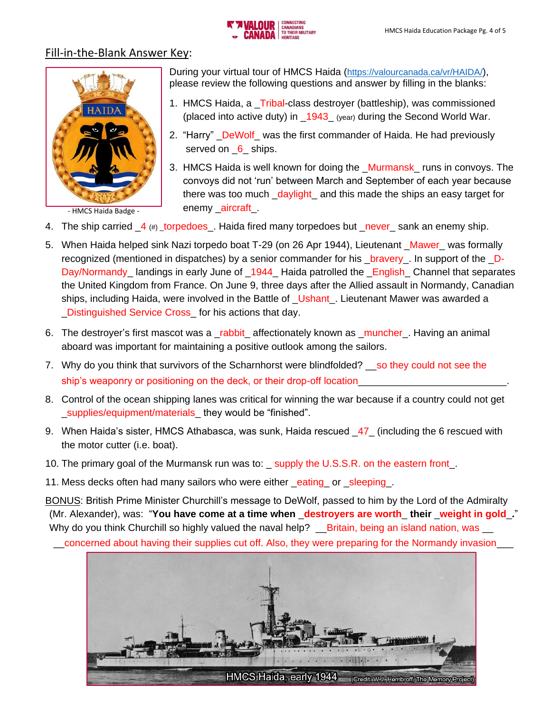

#### Fill-in-the-Blank Answer Key:



- HMCS Haida Badge -

During your virtual tour of HMCS Haida (<https://valourcanada.ca/vr/HAIDA/>), please review the following questions and answer by filling in the blanks:

- 1. HMCS Haida, a \_Tribal-class destroyer (battleship), was commissioned (placed into active duty) in  $1943$  (year) during the Second World War.
- 2. "Harry" DeWolf was the first commander of Haida. He had previously served on 6\_ ships.
- 3. HMCS Haida is well known for doing the \_Murmansk\_ runs in convoys. The convoys did not 'run' between March and September of each year because there was too much daylight and this made the ships an easy target for enemy \_aircraft\_.
- 4. The ship carried  $\frac{4}{\pm}$  (#) \_torpedoes\_. Haida fired many torpedoes but \_never\_ sank an enemy ship.
- 5. When Haida helped sink Nazi torpedo boat T-29 (on 26 Apr 1944), Lieutenant Mawer was formally recognized (mentioned in dispatches) by a senior commander for his \_bravery\_. In support of the \_D-Day/Normandy\_landings in early June of \_1944\_ Haida patrolled the \_English\_Channel that separates the United Kingdom from France. On June 9, three days after the Allied assault in Normandy, Canadian ships, including Haida, were involved in the Battle of Ushant. Lieutenant Mawer was awarded a \_Distinguished Service Cross\_ for his actions that day.
- 6. The destroyer's first mascot was a \_rabbit\_ affectionately known as \_muncher\_. Having an animal aboard was important for maintaining a positive outlook among the sailors.
- 7. Why do you think that survivors of the Scharnhorst were blindfolded? \_\_so they could not see the ship's weaponry or positioning on the deck, or their drop-off location\_
- 8. Control of the ocean shipping lanes was critical for winning the war because if a country could not get supplies/equipment/materials they would be "finished".
- 9. When Haida's sister, HMCS Athabasca, was sunk, Haida rescued  $\,47\,$  (including the 6 rescued with the motor cutter (i.e. boat).
- 10. The primary goal of the Murmansk run was to: \_ supply the U.S.S.R. on the eastern front\_.
- 11. Mess decks often had many sailors who were either eating or sleeping.

BONUS: British Prime Minister Churchill's message to DeWolf, passed to him by the Lord of the Admiralty (Mr. Alexander), was: "**You have come at a time when** \_**destroyers are worth**\_ **their** \_**weight in gold**\_**.**" Why do you think Churchill so highly valued the naval help? Loritain, being an island nation, was Lorich

\_\_concerned about having their supplies cut off. Also, they were preparing for the Normandy invasion\_\_\_